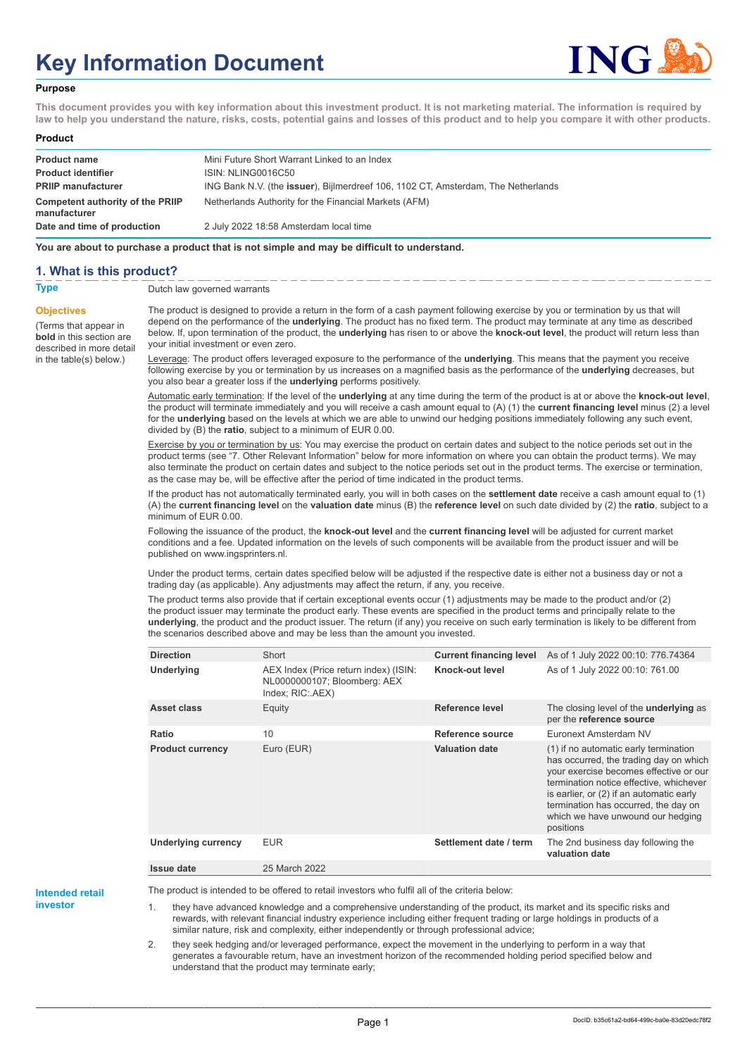# **Key Information Document**



#### **Purpose**

**This document provides you with key information about this investment product. It is not marketing material. The information is required by law to help you understand the nature, risks, costs, potential gains and losses of this product and to help you compare it with other products.**

#### **Product**

| <b>Product name</b><br><b>Product identifier</b> | Mini Future Short Warrant Linked to an Index<br>ISIN: NLING0016C50                |
|--------------------------------------------------|-----------------------------------------------------------------------------------|
| <b>PRIIP manufacturer</b>                        | ING Bank N.V. (the issuer), Bijlmerdreef 106, 1102 CT, Amsterdam, The Netherlands |
| Competent authority of the PRIIP<br>manufacturer | Netherlands Authority for the Financial Markets (AFM)                             |
| Date and time of production                      | 2 July 2022 18:58 Amsterdam local time                                            |

**You are about to purchase a product that is not simple and may be difficult to understand.**

### **1. What is this product?**

**Objectives**

(Terms that appear in **bold** in this section are

in the table(s) below.)

**Type** Dutch law governed warrants

described in more detail The product is designed to provide a return in the form of a cash payment following exercise by you or termination by us that will depend on the performance of the **underlying**. The product has no fixed term. The product may terminate at any time as described below. If, upon termination of the product, the **underlying** has risen to or above the **knock-out level**, the product will return less than your initial investment or even zero.

> Leverage: The product offers leveraged exposure to the performance of the **underlying**. This means that the payment you receive following exercise by you or termination by us increases on a magnified basis as the performance of the **underlying** decreases, but you also bear a greater loss if the **underlying** performs positively.

Automatic early termination: If the level of the **underlying** at any time during the term of the product is at or above the **knock-out level**, the product will terminate immediately and you will receive a cash amount equal to (A) (1) the **current financing level** minus (2) a level for the **underlying** based on the levels at which we are able to unwind our hedging positions immediately following any such event, divided by (B) the **ratio**, subject to a minimum of EUR 0.00.

Exercise by you or termination by us: You may exercise the product on certain dates and subject to the notice periods set out in the product terms (see "7. Other Relevant Information" below for more information on where you can obtain the product terms). We may also terminate the product on certain dates and subject to the notice periods set out in the product terms. The exercise or termination, as the case may be, will be effective after the period of time indicated in the product terms.

If the product has not automatically terminated early, you will in both cases on the **settlement date** receive a cash amount equal to (1) (A) the **current financing level** on the **valuation date** minus (B) the **reference level** on such date divided by (2) the **ratio**, subject to a minimum of EUR 0.00.

Following the issuance of the product, the **knock-out level** and the **current financing level** will be adjusted for current market conditions and a fee. Updated information on the levels of such components will be available from the product issuer and will be published on www.ingsprinters.nl.

Under the product terms, certain dates specified below will be adjusted if the respective date is either not a business day or not a trading day (as applicable). Any adjustments may affect the return, if any, you receive.

The product terms also provide that if certain exceptional events occur (1) adjustments may be made to the product and/or (2) the product issuer may terminate the product early. These events are specified in the product terms and principally relate to the **underlying**, the product and the product issuer. The return (if any) you receive on such early termination is likely to be different from the scenarios described above and may be less than the amount you invested.

| <b>Direction</b>           | Short                                                                                     | <b>Current financing level</b> | As of 1 July 2022 00:10: 776.74364                                                                                                                                                                                                                                                                         |
|----------------------------|-------------------------------------------------------------------------------------------|--------------------------------|------------------------------------------------------------------------------------------------------------------------------------------------------------------------------------------------------------------------------------------------------------------------------------------------------------|
| Underlying                 | AEX Index (Price return index) (ISIN:<br>NL0000000107; Bloomberg: AEX<br>Index; RIC: AEX) | Knock-out level                | As of 1 July 2022 00:10: 761.00                                                                                                                                                                                                                                                                            |
| Asset class                | Equity                                                                                    | Reference level                | The closing level of the <b>underlying</b> as<br>per the reference source                                                                                                                                                                                                                                  |
| Ratio                      | 10                                                                                        | Reference source               | Euronext Amsterdam NV                                                                                                                                                                                                                                                                                      |
| <b>Product currency</b>    | Euro (EUR)                                                                                | <b>Valuation date</b>          | (1) if no automatic early termination<br>has occurred, the trading day on which<br>your exercise becomes effective or our<br>termination notice effective, whichever<br>is earlier, or (2) if an automatic early<br>termination has occurred, the day on<br>which we have unwound our hedging<br>positions |
| <b>Underlying currency</b> | <b>EUR</b>                                                                                | Settlement date / term         | The 2nd business day following the<br>valuation date                                                                                                                                                                                                                                                       |
| <b>Issue date</b>          | 25 March 2022                                                                             |                                |                                                                                                                                                                                                                                                                                                            |

**Intended retail**

**investor**

The product is intended to be offered to retail investors who fulfil all of the criteria below:

they have advanced knowledge and a comprehensive understanding of the product, its market and its specific risks and rewards, with relevant financial industry experience including either frequent trading or large holdings in products of a similar nature, risk and complexity, either independently or through professional advice;

2. they seek hedging and/or leveraged performance, expect the movement in the underlying to perform in a way that generates a favourable return, have an investment horizon of the recommended holding period specified below and understand that the product may terminate early;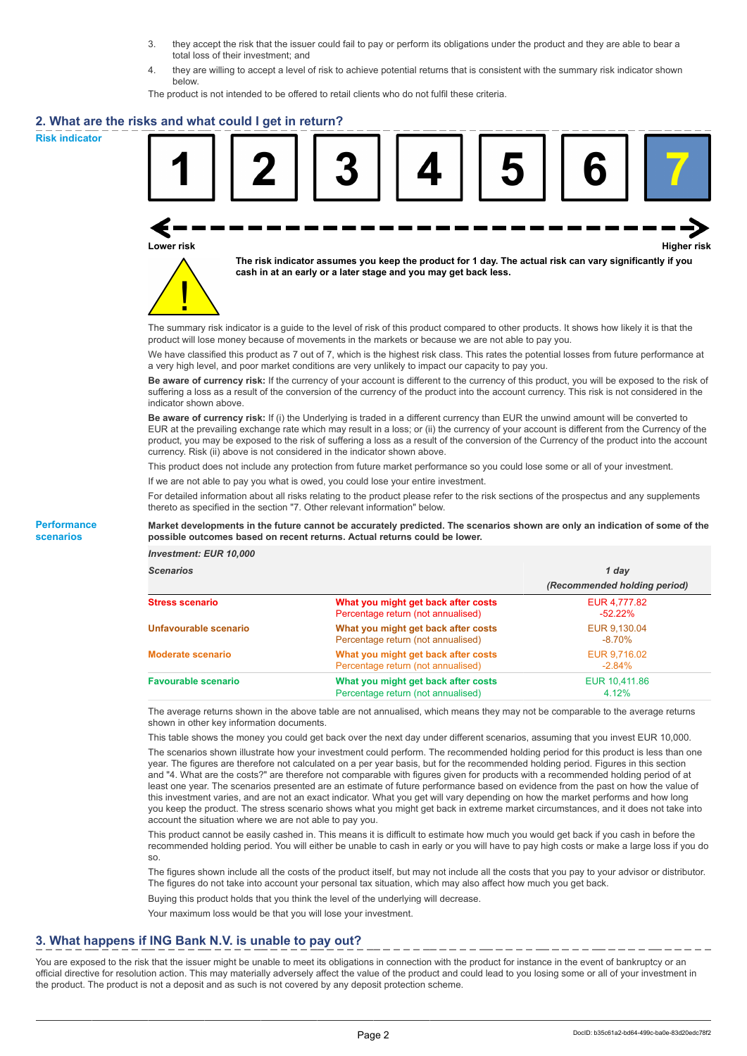- 3. they accept the risk that the issuer could fail to pay or perform its obligations under the product and they are able to bear a total loss of their investment; and
- 4. they are willing to accept a level of risk to achieve potential returns that is consistent with the summary risk indicator shown below.

The product is not intended to be offered to retail clients who do not fulfil these criteria.

### **2. What are the risks and what could I get in return?**

**Risk indicator**

**Performance scenarios**





**The risk indicator assumes you keep the product for 1 day. The actual risk can vary significantly if you cash in at an early or a later stage and you may get back less.**

The summary risk indicator is a guide to the level of risk of this product compared to other products. It shows how likely it is that the product will lose money because of movements in the markets or because we are not able to pay you.

We have classified this product as 7 out of 7, which is the highest risk class. This rates the potential losses from future performance at a very high level, and poor market conditions are very unlikely to impact our capacity to pay you.

**Be aware of currency risk:** If the currency of your account is different to the currency of this product, you will be exposed to the risk of suffering a loss as a result of the conversion of the currency of the product into the account currency. This risk is not considered in the indicator shown above.

**Be aware of currency risk:** If (i) the Underlying is traded in a different currency than EUR the unwind amount will be converted to EUR at the prevailing exchange rate which may result in a loss; or (ii) the currency of your account is different from the Currency of the product, you may be exposed to the risk of suffering a loss as a result of the conversion of the Currency of the product into the account currency. Risk (ii) above is not considered in the indicator shown above.

This product does not include any protection from future market performance so you could lose some or all of your investment.

If we are not able to pay you what is owed, you could lose your entire investment.

For detailed information about all risks relating to the product please refer to the risk sections of the prospectus and any supplements thereto as specified in the section "7. Other relevant information" below.

#### **Market developments in the future cannot be accurately predicted. The scenarios shown are only an indication of some of the possible outcomes based on recent returns. Actual returns could be lower.**

*Investment: EUR 10,000*

| <b>cenarios</b> |  |  |
|-----------------|--|--|
|                 |  |  |

| <b>Scenarios</b>           |                                                                           | 1 day                        |  |
|----------------------------|---------------------------------------------------------------------------|------------------------------|--|
|                            |                                                                           | (Recommended holding period) |  |
| Stress scenario            | What you might get back after costs<br>Percentage return (not annualised) | EUR 4,777.82<br>$-52.22%$    |  |
| Unfavourable scenario      | What you might get back after costs<br>Percentage return (not annualised) | EUR 9.130.04<br>$-8.70\%$    |  |
| <b>Moderate scenario</b>   | What you might get back after costs<br>Percentage return (not annualised) | EUR 9,716.02<br>$-2.84%$     |  |
| <b>Favourable scenario</b> | What you might get back after costs<br>Percentage return (not annualised) | EUR 10.411.86<br>4.12%       |  |

The average returns shown in the above table are not annualised, which means they may not be comparable to the average returns shown in other key information documents.

This table shows the money you could get back over the next day under different scenarios, assuming that you invest EUR 10,000.

The scenarios shown illustrate how your investment could perform. The recommended holding period for this product is less than one year. The figures are therefore not calculated on a per year basis, but for the recommended holding period. Figures in this section and "4. What are the costs?" are therefore not comparable with figures given for products with a recommended holding period of at least one year. The scenarios presented are an estimate of future performance based on evidence from the past on how the value of this investment varies, and are not an exact indicator. What you get will vary depending on how the market performs and how long you keep the product. The stress scenario shows what you might get back in extreme market circumstances, and it does not take into account the situation where we are not able to pay you.

This product cannot be easily cashed in. This means it is difficult to estimate how much you would get back if you cash in before the recommended holding period. You will either be unable to cash in early or you will have to pay high costs or make a large loss if you do so.

The figures shown include all the costs of the product itself, but may not include all the costs that you pay to your advisor or distributor. The figures do not take into account your personal tax situation, which may also affect how much you get back.

Buying this product holds that you think the level of the underlying will decrease.

Your maximum loss would be that you will lose your investment.

## **3. What happens if ING Bank N.V. is unable to pay out?**

You are exposed to the risk that the issuer might be unable to meet its obligations in connection with the product for instance in the event of bankruptcy or an official directive for resolution action. This may materially adversely affect the value of the product and could lead to you losing some or all of your investment in the product. The product is not a deposit and as such is not covered by any deposit protection scheme.